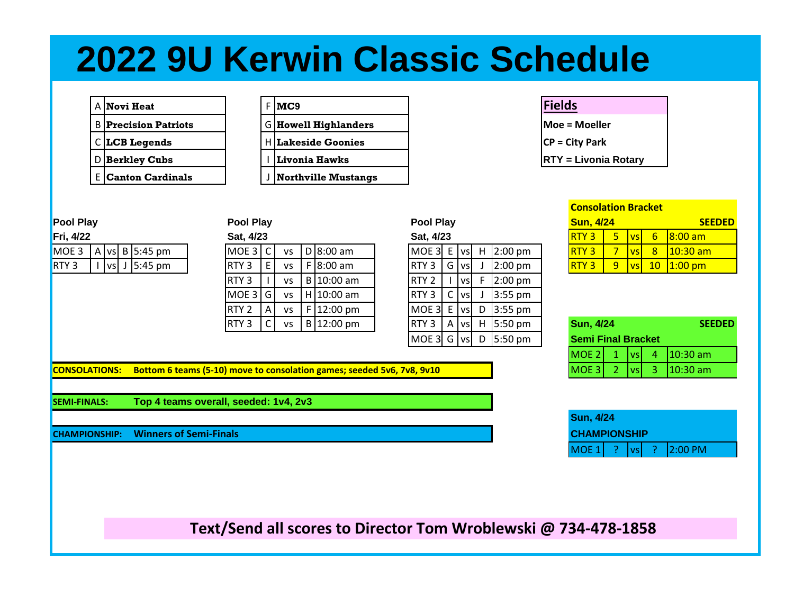## **2022 9U Kerwin Classic Schedule**

|   | A <b> Novi Heat</b>       |  | IMC9                      |
|---|---------------------------|--|---------------------------|
| в | <b>Precision Patriots</b> |  | G   Howell Highlande      |
|   | C LCB Legends             |  | <b>HILakeside Goonies</b> |
|   | D Berkley Cubs            |  | Livonia Hawks             |
|   | <b>E Canton Cardinals</b> |  | Northville Mustan         |

| A <b>Novi Heat</b>          |  | $F$ <b>MC9</b>              | <b>Fields</b> |
|-----------------------------|--|-----------------------------|---------------|
| <b>B</b> Precision Patriots |  | <b>G</b> Howell Highlanders | $Moe = 1$     |
| C L <b>CB Legends</b>       |  | <b>Lakeside Goonies</b>     | $CP = Cit$    |
| <b>D</b> Berkley Cubs       |  | Livonia Hawks               | $RTY = 1$     |
| <b>E</b> Canton Cardinals   |  | <b>Northville Mustangs</b>  |               |

| Pool Play        |  |  | <b>Pool Play</b> |                                                                 |  |                  | <b>Pool Play</b> |    | <b>Sun, 4/24</b> |                | <b>SEEDED</b>    |     |             |  |                     |                                                                                                                       |    |               |    |                     |  |
|------------------|--|--|------------------|-----------------------------------------------------------------|--|------------------|------------------|----|------------------|----------------|------------------|-----|-------------|--|---------------------|-----------------------------------------------------------------------------------------------------------------------|----|---------------|----|---------------------|--|
| Fri, 4/22        |  |  |                  |                                                                 |  | Sat, 4/23        |                  |    |                  |                | Sat, 4/23        |     |             |  |                     | <b>RTY3</b>                                                                                                           | 5. | <b>vsl</b>    | 6. | $ 8:00 \text{ am} $ |  |
| MOE 3            |  |  |                  | A vs $B$ 5:45 pm                                                |  | MOE <sub>3</sub> | 、I C             | VS |                  | D $ 8:00$ am   | MOE 3 E vs       |     |             |  | $H$ 2:00 pm         | <b>RTY3</b>                                                                                                           |    | vsl           | 8  | $10:30$ am          |  |
| RTY <sub>3</sub> |  |  |                  | $\lfloor \text{vs} \rfloor$ J $\lfloor 5:45 \text{ pm} \rfloor$ |  | RTY <sub>3</sub> | E                | VS |                  | $F$ 8:00 am    | RTY <sub>3</sub> |     | Glvsl       |  | $2:00$ pm           | <b>RTY3</b>                                                                                                           | 9  | $\mathsf{vs}$ |    | $10$   1:00 pm      |  |
|                  |  |  |                  |                                                                 |  | RTY <sub>3</sub> |                  | VS |                  | B 10:00 am     | RTY <sub>2</sub> |     | l vsl       |  | $2:00$ pm           |                                                                                                                       |    |               |    |                     |  |
|                  |  |  |                  |                                                                 |  | MOE 3 G          |                  | VS |                  | $H$ 10:00 am   | RTY <sub>3</sub> | - C | <b>IVSI</b> |  | $3:55$ pm           |                                                                                                                       |    |               |    |                     |  |
|                  |  |  |                  |                                                                 |  | RTY <sub>2</sub> | A                | VS |                  | $F$   12:00 pm | MOE 3 E          |     | <b>IVS</b>  |  | D $3:55 \text{ pm}$ |                                                                                                                       |    |               |    |                     |  |
|                  |  |  |                  |                                                                 |  | RTY <sub>3</sub> |                  | VS |                  | $B 12:00$ pm   | RTY <sub>3</sub> | A   | . Ivsl      |  | $H$ 5:50 pm         | <b>Sun, 4/24</b>                                                                                                      |    |               |    | <b>SEEDED</b>       |  |
|                  |  |  |                  |                                                                 |  |                  |                  |    |                  |                |                  |     |             |  | <b>PERSON</b>       | <b>Contact of the Contact Contact Contact Contact Contact Contact Contact Contact Contact Contact Contact Contact</b> |    |               |    |                     |  |

| <b>Pool Play</b> |    |               |   | <b>Sun, 4/24</b> |  |                           |   |           |                  |  |  |
|------------------|----|---------------|---|------------------|--|---------------------------|---|-----------|------------------|--|--|
| Sat, 4/23        |    |               |   |                  |  | RTY <sub>3</sub>          | 5 | <b>VS</b> | $6 \overline{6}$ |  |  |
| MOE <sub>3</sub> | E. | $\mathsf{vs}$ | н | 2:00 pm          |  | RTY <sub>3</sub>          | 7 | <b>VS</b> | 8                |  |  |
| RTY <sub>3</sub> | G  | <b>VS</b>     | J | $2:00$ pm        |  | RTY <sub>3</sub>          | 9 | <b>VS</b> | 10               |  |  |
| RTY <sub>2</sub> |    | vsl           | F | $2:00$ pm        |  |                           |   |           |                  |  |  |
| RTY <sub>3</sub> | C  | vsl           | J | 3:55 pm          |  |                           |   |           |                  |  |  |
| MOE <sub>3</sub> | E  | vsl           | D | 3:55 pm          |  |                           |   |           |                  |  |  |
| RTY <sub>3</sub> | Α  | vsl           | н | 5:50 pm          |  | <b>Sun, 4/24</b>          |   |           |                  |  |  |
| MOE <sub>3</sub> | G  | <b>VS</b>     | D | 5:50 pm          |  | <b>Semi Final Bracket</b> |   |           |                  |  |  |

| <b>Consolation Bracket</b> |   |  |   |               |  |  |  |  |  |  |  |  |  |
|----------------------------|---|--|---|---------------|--|--|--|--|--|--|--|--|--|
| <b>Sun, 4/24</b>           |   |  |   | <b>SEEDED</b> |  |  |  |  |  |  |  |  |  |
| <b>RTY3</b>                | 5 |  | 6 | $8:00$ am     |  |  |  |  |  |  |  |  |  |
| <b>RTY3</b>                |   |  |   | $10:30$ am    |  |  |  |  |  |  |  |  |  |
|                            |   |  |   |               |  |  |  |  |  |  |  |  |  |

**Moe = Moeller** CP = City Park

**RTY = Livonia Rotary** 

| RTY 3 |  | $vs$   B   12:00 pm                              |  |  | $ RTY3 $ A $ vs $ H $ 5:50$ pm                | <b>Sun. 4/24</b>          |  | <b>SEEDED</b>                      |
|-------|--|--------------------------------------------------|--|--|-----------------------------------------------|---------------------------|--|------------------------------------|
|       |  |                                                  |  |  | $MOE 3$ G $\vert v_s \vert$ D $\vert$ 5:50 pm | <b>Semi Final Bracket</b> |  |                                    |
|       |  |                                                  |  |  |                                               | MOE 21                    |  | $1 \text{ vs } 4 \text{ 10:30 am}$ |
|       |  | move to consolation games; seeded 5v6, 7v8, 9v10 |  |  |                                               | <b>IMOE 31</b>            |  | $\sqrt{vs}$ 3 $10:30$ am           |

**CONSOLATIONS:** Bottom 6 teams (5-10) move to consolation games; seeded 5v6, 7v8, 9v10

**SEMI-FINALS: Top 4 teams overall, seeded: 1v4, 2v3**

**CHAMPIONSHIP: Winners of Semi-Finals** 

| <b>Sun, 4/24</b><br><b>CHAMPIONSHIP</b> |  |                           |
|-----------------------------------------|--|---------------------------|
|                                         |  | MOE 1 ?   vs  ?   2:00 PM |

**Text/Send all scores to Director Tom Wroblewski @ 734-478-1858**